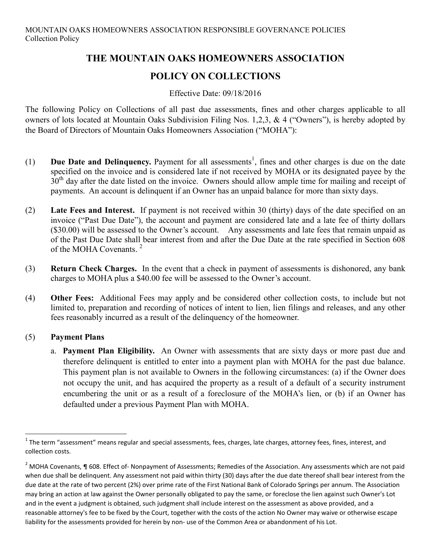# **THE MOUNTAIN OAKS HOMEOWNERS ASSOCIATION**

# **POLICY ON COLLECTIONS**

#### Effective Date: 09/18/2016

The following Policy on Collections of all past due assessments, fines and other charges applicable to all owners of lots located at Mountain Oaks Subdivision Filing Nos. 1,2,3, & 4 ("Owners"), is hereby adopted by the Board of Directors of Mountain Oaks Homeowners Association ("MOHA"):

- $(1)$  **Due Date and Delinquency.** Payment for all assessments<sup>1</sup>, fines and other charges is due on the date specified on the invoice and is considered late if not received by MOHA or its designated payee by the 30<sup>th</sup> day after the date listed on the invoice. Owners should allow ample time for mailing and receipt of payments. An account is delinquent if an Owner has an unpaid balance for more than sixty days.
- (2) **Late Fees and Interest.** If payment is not received within 30 (thirty) days of the date specified on an invoice ("Past Due Date"), the account and payment are considered late and a late fee of thirty dollars (\$30.00) will be assessed to the Owner's account. Any assessments and late fees that remain unpaid as of the Past Due Date shall bear interest from and after the Due Date at the rate specified in Section 608 of the MOHA Covenants<sup>2</sup>
- (3) **Return Check Charges.** In the event that a check in payment of assessments is dishonored, any bank charges to MOHA plus a \$40.00 fee will be assessed to the Owner's account.
- (4) **Other Fees:** Additional Fees may apply and be considered other collection costs, to include but not limited to, preparation and recording of notices of intent to lien, lien filings and releases, and any other fees reasonably incurred as a result of the delinquency of the homeowner.

### (5) **Payment Plans**

a. **Payment Plan Eligibility.** An Owner with assessments that are sixty days or more past due and therefore delinquent is entitled to enter into a payment plan with MOHA for the past due balance. This payment plan is not available to Owners in the following circumstances: (a) if the Owner does not occupy the unit, and has acquired the property as a result of a default of a security instrument encumbering the unit or as a result of a foreclosure of the MOHA's lien, or (b) if an Owner has defaulted under a previous Payment Plan with MOHA.

 $1$  The term "assessment" means regular and special assessments, fees, charges, late charges, attorney fees, fines, interest, and collection costs.

<sup>&</sup>lt;sup>2</sup> MOHA Covenants, ¶ 608. Effect of- Nonpayment of Assessments; Remedies of the Association. Any assessments which are not paid when due shall be delinquent. Any assessment not paid within thirty (30) days after the due date thereof shall bear interest from the due date at the rate of two percent (2%) over prime rate of the First National Bank of Colorado Springs per annum. The Association may bring an action at law against the Owner personally obligated to pay the same, or foreclose the lien against such Owner's Lot and in the event a judgment is obtained, such judgment shall include interest on the assessment as above provided, and a reasonable attorney's fee to be fixed by the Court, together with the costs of the action No Owner may waive or otherwise escape liability for the assessments provided for herein by non- use of the Common Area or abandonment of his Lot.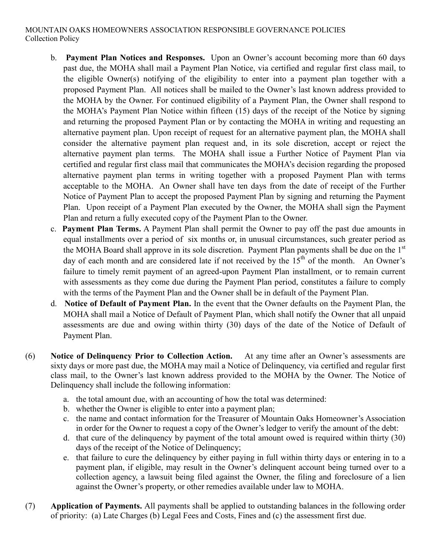#### MOUNTAIN OAKS HOMEOWNERS ASSOCIATION RESPONSIBLE GOVERNANCE POLICIES Collection Policy

- b. **Payment Plan Notices and Responses.** Upon an Owner's account becoming more than 60 days past due, the MOHA shall mail a Payment Plan Notice, via certified and regular first class mail, to the eligible Owner(s) notifying of the eligibility to enter into a payment plan together with a proposed Payment Plan. All notices shall be mailed to the Owner's last known address provided to the MOHA by the Owner. For continued eligibility of a Payment Plan, the Owner shall respond to the MOHA's Payment Plan Notice within fifteen (15) days of the receipt of the Notice by signing and returning the proposed Payment Plan or by contacting the MOHA in writing and requesting an alternative payment plan. Upon receipt of request for an alternative payment plan, the MOHA shall consider the alternative payment plan request and, in its sole discretion, accept or reject the alternative payment plan terms. The MOHA shall issue a Further Notice of Payment Plan via certified and regular first class mail that communicates the MOHA's decision regarding the proposed alternative payment plan terms in writing together with a proposed Payment Plan with terms acceptable to the MOHA. An Owner shall have ten days from the date of receipt of the Further Notice of Payment Plan to accept the proposed Payment Plan by signing and returning the Payment Plan. Upon receipt of a Payment Plan executed by the Owner, the MOHA shall sign the Payment Plan and return a fully executed copy of the Payment Plan to the Owner.
- c. **Payment Plan Terms.** A Payment Plan shall permit the Owner to pay off the past due amounts in equal installments over a period of six months or, in unusual circumstances, such greater period as the MOHA Board shall approve in its sole discretion. Payment Plan payments shall be due on the 1<sup>st</sup> day of each month and are considered late if not received by the  $15<sup>th</sup>$  of the month. An Owner's failure to timely remit payment of an agreed-upon Payment Plan installment, or to remain current with assessments as they come due during the Payment Plan period, constitutes a failure to comply with the terms of the Payment Plan and the Owner shall be in default of the Payment Plan.
- d. **Notice of Default of Payment Plan.** In the event that the Owner defaults on the Payment Plan, the MOHA shall mail a Notice of Default of Payment Plan, which shall notify the Owner that all unpaid assessments are due and owing within thirty (30) days of the date of the Notice of Default of Payment Plan.
- (6) **Notice of Delinquency Prior to Collection Action.** At any time after an Owner's assessments are sixty days or more past due, the MOHA may mail a Notice of Delinquency, via certified and regular first class mail, to the Owner's last known address provided to the MOHA by the Owner. The Notice of Delinquency shall include the following information:
	- a. the total amount due, with an accounting of how the total was determined:
	- b. whether the Owner is eligible to enter into a payment plan;
	- c. the name and contact information for the Treasurer of Mountain Oaks Homeowner's Association in order for the Owner to request a copy of the Owner's ledger to verify the amount of the debt:
	- d. that cure of the delinquency by payment of the total amount owed is required within thirty (30) days of the receipt of the Notice of Delinquency;
	- e. that failure to cure the delinquency by either paying in full within thirty days or entering in to a payment plan, if eligible, may result in the Owner's delinquent account being turned over to a collection agency, a lawsuit being filed against the Owner, the filing and foreclosure of a lien against the Owner's property, or other remedies available under law to MOHA.
- (7) **Application of Payments.** All payments shall be applied to outstanding balances in the following order of priority: (a) Late Charges (b) Legal Fees and Costs, Fines and (c) the assessment first due.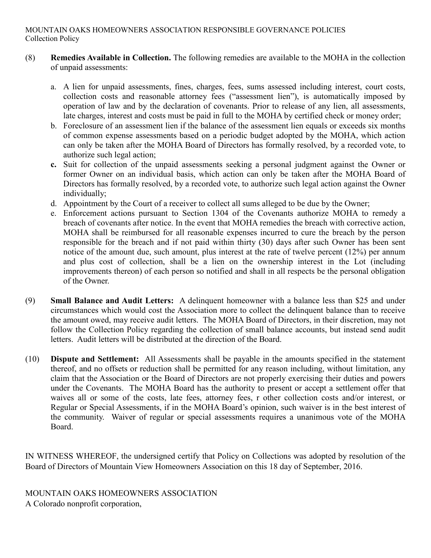- (8) **Remedies Available in Collection.** The following remedies are available to the MOHA in the collection of unpaid assessments:
	- a. A lien for unpaid assessments, fines, charges, fees, sums assessed including interest, court costs, collection costs and reasonable attorney fees ("assessment lien"), is automatically imposed by operation of law and by the declaration of covenants. Prior to release of any lien, all assessments, late charges, interest and costs must be paid in full to the MOHA by certified check or money order;
	- b. Foreclosure of an assessment lien if the balance of the assessment lien equals or exceeds six months of common expense assessments based on a periodic budget adopted by the MOHA, which action can only be taken after the MOHA Board of Directors has formally resolved, by a recorded vote, to authorize such legal action;
	- **c.** Suit for collection of the unpaid assessments seeking a personal judgment against the Owner or former Owner on an individual basis, which action can only be taken after the MOHA Board of Directors has formally resolved, by a recorded vote, to authorize such legal action against the Owner individually;
	- d. Appointment by the Court of a receiver to collect all sums alleged to be due by the Owner;
	- e. Enforcement actions pursuant to Section 1304 of the Covenants authorize MOHA to remedy a breach of covenants after notice. In the event that MOHA remedies the breach with corrective action, MOHA shall be reimbursed for all reasonable expenses incurred to cure the breach by the person responsible for the breach and if not paid within thirty (30) days after such Owner has been sent notice of the amount due, such amount, plus interest at the rate of twelve percent (12%) per annum and plus cost of collection, shall be a lien on the ownership interest in the Lot (including improvements thereon) of each person so notified and shall in all respects be the personal obligation of the Owner.
- (9) **Small Balance and Audit Letters:** A delinquent homeowner with a balance less than \$25 and under circumstances which would cost the Association more to collect the delinquent balance than to receive the amount owed, may receive audit letters. The MOHA Board of Directors, in their discretion, may not follow the Collection Policy regarding the collection of small balance accounts, but instead send audit letters. Audit letters will be distributed at the direction of the Board.
- (10) **Dispute and Settlement:** All Assessments shall be payable in the amounts specified in the statement thereof, and no offsets or reduction shall be permitted for any reason including, without limitation, any claim that the Association or the Board of Directors are not properly exercising their duties and powers under the Covenants. The MOHA Board has the authority to present or accept a settlement offer that waives all or some of the costs, late fees, attorney fees, r other collection costs and/or interest, or Regular or Special Assessments, if in the MOHA Board's opinion, such waiver is in the best interest of the community. Waiver of regular or special assessments requires a unanimous vote of the MOHA Board.

IN WITNESS WHEREOF, the undersigned certify that Policy on Collections was adopted by resolution of the Board of Directors of Mountain View Homeowners Association on this 18 day of September, 2016.

MOUNTAIN OAKS HOMEOWNERS ASSOCIATION A Colorado nonprofit corporation,